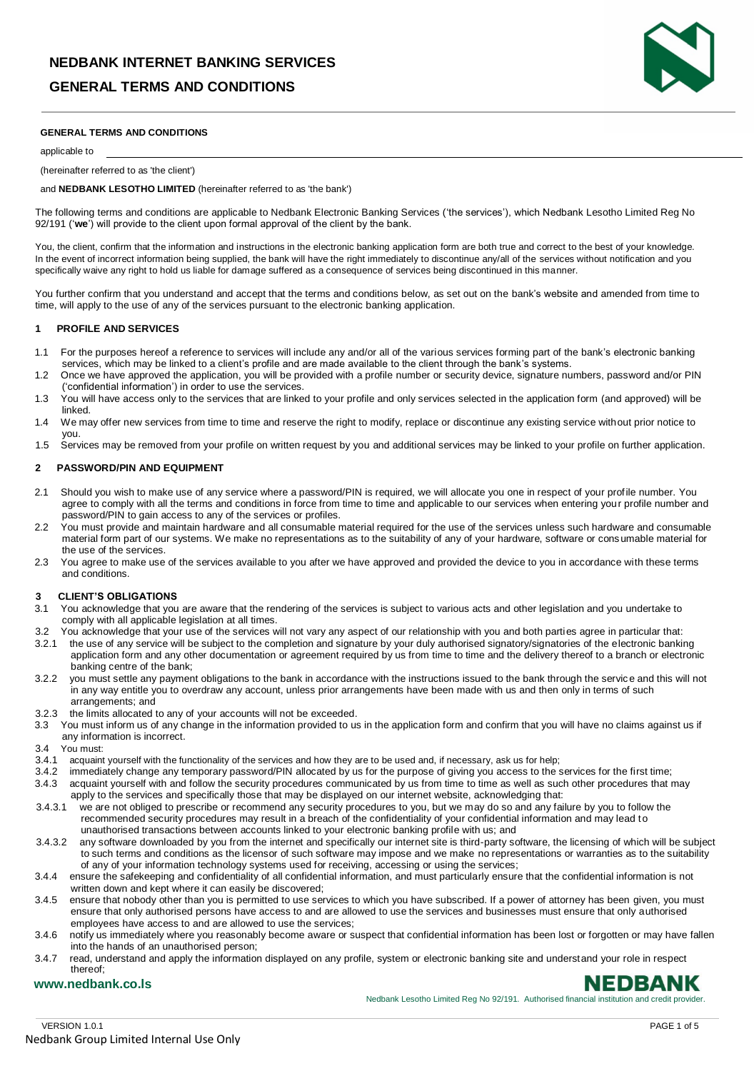### **GENERAL TERMS AND CONDITIONS**



### **GENERAL TERMS AND CONDITIONS**

applicable to

### (hereinafter referred to as 'the client')

and **NEDBANK LESOTHO LIMITED** (hereinafter referred to as 'the bank')

The following terms and conditions are applicable to Nedbank Electronic Banking Services ('the services'), which Nedbank Lesotho Limited Reg No 92/191 ('**we**') will provide to the client upon formal approval of the client by the bank.

You, the client, confirm that the information and instructions in the electronic banking application form are both true and correct to the best of your knowledge. In the event of incorrect information being supplied, the bank will have the right immediately to discontinue any/all of the services without notification and you specifically waive any right to hold us liable for damage suffered as a consequence of services being discontinued in this manner.

You further confirm that you understand and accept that the terms and conditions below, as set out on the bank's website and amended from time to time, will apply to the use of any of the services pursuant to the electronic banking application.

### **1 PROFILE AND SERVICES**

- 1.1 For the purposes hereof a reference to services will include any and/or all of the various services forming part of the bank's electronic banking services, which may be linked to a client's profile and are made available to the client through the bank's systems.
- 1.2 Once we have approved the application, you will be provided with a profile number or security device, signature numbers, password and/or PIN ('confidential information') in order to use the services.
- 1.3 You will have access only to the services that are linked to your profile and only services selected in the application form (and approved) will be linked.
- 1.4 We may offer new services from time to time and reserve the right to modify, replace or discontinue any existing service without prior notice to you.
- 1.5 Services may be removed from your profile on written request by you and additional services may be linked to your profile on further application.

### **2 PASSWORD/PIN AND EQUIPMENT**

- 2.1 Should you wish to make use of any service where a password/PIN is required, we will allocate you one in respect of your profile number. You agree to comply with all the terms and conditions in force from time to time and applicable to our services when entering your profile number and password/PIN to gain access to any of the services or profiles.
- 2.2 You must provide and maintain hardware and all consumable material required for the use of the services unless such hardware and consumable material form part of our systems. We make no representations as to the suitability of any of your hardware, software or cons umable material for the use of the services.
- 2.3 You agree to make use of the services available to you after we have approved and provided the device to you in accordance with these terms and conditions.

### **3 CLIENT'S OBLIGATIONS**

- 3.1 You acknowledge that you are aware that the rendering of the services is subject to various acts and other legislation and you undertake to comply with all applicable legislation at all times.
- 3.2 You acknowledge that your use of the services will not vary any aspect of our relationship with you and both parties agree in particular that:
- 3.2.1 the use of any service will be subject to the completion and signature by your duly authorised signatory/signatories of the electronic banking application form and any other documentation or agreement required by us from time to time and the delivery thereof to a branch or electronic banking centre of the bank;
- 3.2.2 you must settle any payment obligations to the bank in accordance with the instructions issued to the bank through the service and this will not in any way entitle you to overdraw any account, unless prior arrangements have been made with us and then only in terms of such arrangements; and
- 3.2.3 the limits allocated to any of your accounts will not be exceeded.
- 3.3 You must inform us of any change in the information provided to us in the application form and confirm that you will have no claims against us if any information is incorrect.
- 3.4 You must:
- 3.4.1 acquaint yourself with the functionality of the services and how they are to be used and, if necessary, ask us for help;<br>3.4.2 immediately change any temporary password/PIN allocated by us for the purpose of giving y
- immediately change any temporary password/PIN allocated by us for the purpose of giving you access to the services for the first time; 3.4.3 acquaint yourself with and follow the security procedures communicated by us from time to time as well as such other procedures that may apply to the services and specifically those that may be displayed on our internet website, acknowledging that:
- 3.4.3.1 we are not obliged to prescribe or recommend any security procedures to you, but we may do so and any failure by you to follow the recommended security procedures may result in a breach of the confidentiality of your confidential information and may lead to unauthorised transactions between accounts linked to your electronic banking profile with us; and
- 3.4.3.2 any software downloaded by you from the internet and specifically our internet site is third-party software, the licensing of which will be subject to such terms and conditions as the licensor of such software may impose and we make no representations or warranties as to the suitability of any of your information technology systems used for receiving, accessing or using the services;
- 3.4.4 ensure the safekeeping and confidentiality of all confidential information, and must particularly ensure that the confidential information is not written down and kept where it can easily be discovered;
- 3.4.5 ensure that nobody other than you is permitted to use services to which you have subscribed. If a power of attorney has been given, you must ensure that only authorised persons have access to and are allowed to use the services and businesses must ensure that only authorised employees have access to and are allowed to use the services;
- 3.4.6 notify us immediately where you reasonably become aware or suspect that confidential information has been lost or forgotten or may have fallen into the hands of an unauthorised person;
- 3.4.7 read, understand and apply the information displayed on any profile, system or electronic banking site and understand your role in respect thereof;

### **www.nedbank.co.ls**

Nedbank Lesotho Limited Reg No 92/191. Authorised financial institution and credit provider.

NEDBANK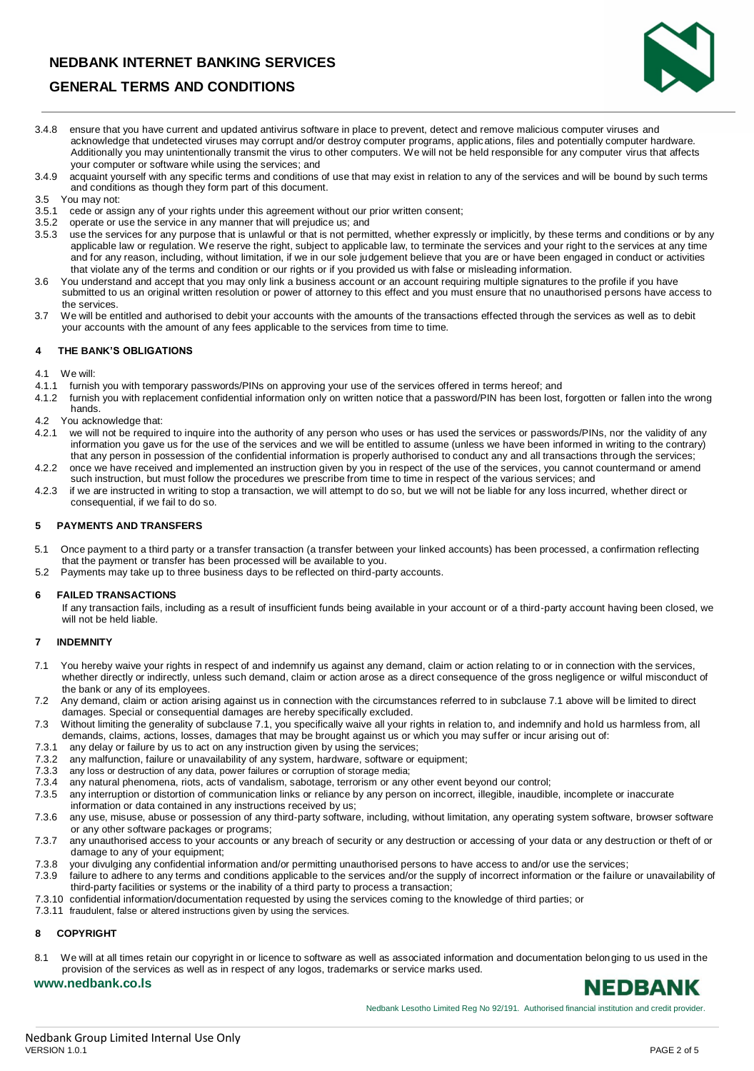### **NEDBANK INTERNET BANKING SERVICES**



### **GENERAL TERMS AND CONDITIONS**

- 3.4.8 ensure that you have current and updated antivirus software in place to prevent, detect and remove malicious computer viruses and acknowledge that undetected viruses may corrupt and/or destroy computer programs, applications, files and potentially computer hardware. Additionally you may unintentionally transmit the virus to other computers. We will not be held responsible for any computer virus that affects your computer or software while using the services; and
- 3.4.9 acquaint yourself with any specific terms and conditions of use that may exist in relation to any of the services and will be bound by such terms and conditions as though they form part of this document.
- 3.5 You may not:
- 3.5.1 cede or assign any of your rights under this agreement without our prior written consent;
- 3.5.2 operate or use the service in any manner that will prejudice us; and
- 3.5.3 use the services for any purpose that is unlawful or that is not permitted, whether expressly or implicitly, by these terms and conditions or by any applicable law or regulation. We reserve the right, subject to applicable law, to terminate the services and your right to the services at any time and for any reason, including, without limitation, if we in our sole judgement believe that you are or have been engaged in conduct or activities that violate any of the terms and condition or our rights or if you provided us with false or misleading information.
- 3.6 You understand and accept that you may only link a business account or an account requiring multiple signatures to the profile if you have submitted to us an original written resolution or power of attorney to this effect and you must ensure that no unauthorised persons have access to the services.
- 3.7 We will be entitled and authorised to debit your accounts with the amounts of the transactions effected through the services as well as to debit your accounts with the amount of any fees applicable to the services from time to time.

### **4 THE BANK'S OBLIGATIONS**

4.1 We will:

- 4.1.1 furnish you with temporary passwords/PINs on approving your use of the services offered in terms hereof; and
- 4.1.2 furnish you with replacement confidential information only on written notice that a password/PIN has been lost, forgotten or fallen into the wrong hands.
- 4.2 You acknowledge that:
- 4.2.1 we will not be required to inquire into the authority of any person who uses or has used the services or passwords/PINs, nor the validity of any information you gave us for the use of the services and we will be entitled to assume (unless we have been informed in writing to the contrary) that any person in possession of the confidential information is properly authorised to conduct any and all transactions through the services; 4.2.2 once we have received and implemented an instruction given by you in respect of the use of the services, you cannot countermand or amend
- such instruction, but must follow the procedures we prescribe from time to time in respect of the various services; and 4.2.3 if we are instructed in writing to stop a transaction, we will attempt to do so, but we will not be liable for any loss incurred, whether direct or
- consequential, if we fail to do so.

### **5 PAYMENTS AND TRANSFERS**

- 5.1 Once payment to a third party or a transfer transaction (a transfer between your linked accounts) has been processed, a confirmation reflecting that the payment or transfer has been processed will be available to you.
- 5.2 Payments may take up to three business days to be reflected on third-party accounts.

### **6 FAILED TRANSACTIONS**

If any transaction fails, including as a result of insufficient funds being available in your account or of a third-party account having been closed, we will not be held liable.

### **7 INDEMNITY**

- 7.1 You hereby waive your rights in respect of and indemnify us against any demand, claim or action relating to or in connection with the services, whether directly or indirectly, unless such demand, claim or action arose as a direct consequence of the gross negligence or wilful misconduct of the bank or any of its employees.
- 7.2 Any demand, claim or action arising against us in connection with the circumstances referred to in subclause 7.1 above will be limited to direct damages. Special or consequential damages are hereby specifically excluded.
- 7.3 Without limiting the generality of subclause 7.1, you specifically waive all your rights in relation to, and indemnify and hold us harmless from, all demands, claims, actions, losses, damages that may be brought against us or which you may suffer or incur arising out of:
- 7.3.1 any delay or failure by us to act on any instruction given by using the services;
- 7.3.2 any malfunction, failure or unavailability of any system, hardware, software or equipment;<br>7.3.3 any loss or destruction of any data nower failures or corruption of storage media:
- any loss or destruction of any data, power failures or corruption of storage media;
- 7.3.4 any natural phenomena, riots, acts of vandalism, sabotage, terrorism or any other event beyond our control;
- 7.3.5 any interruption or distortion of communication links or reliance by any person on incorrect, illegible, inaudible, incomplete or inaccurate information or data contained in any instructions received by us;
- 7.3.6 any use, misuse, abuse or possession of any third-party software, including, without limitation, any operating system software, browser software or any other software packages or programs;
- 7.3.7 any unauthorised access to your accounts or any breach of security or any destruction or accessing of your data or any destruction or theft of or damage to any of your equipment;
- 7.3.8 your divulging any confidential information and/or permitting unauthorised persons to have access to and/or use the services;
- 7.3.9 failure to adhere to any terms and conditions applicable to the services and/or the supply of incorrect information or the failure or unavailability of third-party facilities or systems or the inability of a third party to process a transaction;
- 7.3.10 confidential information/documentation requested by using the services coming to the knowledge of third parties; or
- 7.3.11 fraudulent, false or altered instructions given by using the services.

### **8 COPYRIGHT**

**www.nedbank.co.ls**

8.1 We will at all times retain our copyright in or licence to software as well as associated information and documentation belonging to us used in the provision of the services as well as in respect of any logos, trademarks or service marks used.

# **NEDBANK**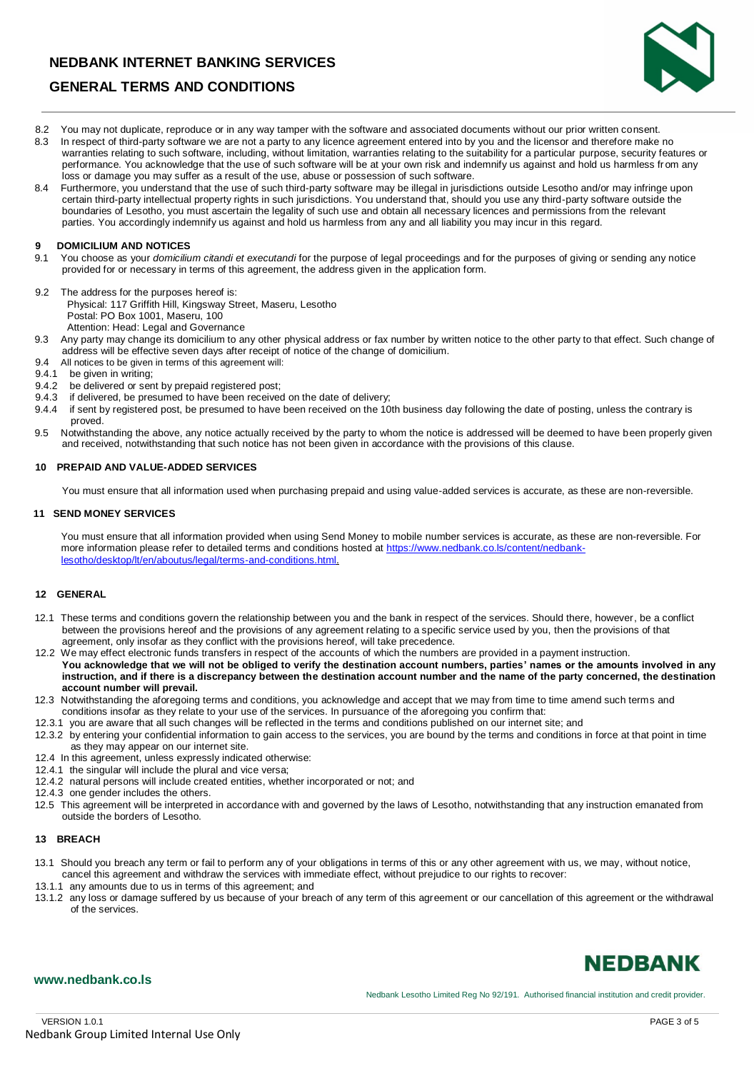### **NEDBANK INTERNET BANKING SERVICES**



### **GENERAL TERMS AND CONDITIONS**

- 8.2 You may not duplicate, reproduce or in any way tamper with the software and associated documents without our prior written consent.
- 8.3 In respect of third-party software we are not a party to any licence agreement entered into by you and the licensor and therefore make no warranties relating to such software, including, without limitation, warranties relating to the suitability for a particular purpose, security features or performance. You acknowledge that the use of such software will be at your own risk and indemnify us against and hold us harmless from any loss or damage you may suffer as a result of the use, abuse or possession of such software.
- 8.4 Furthermore, you understand that the use of such third-party software may be illegal in jurisdictions outside Lesotho and/or may infringe upon certain third-party intellectual property rights in such jurisdictions. You understand that, should you use any third-party software outside the boundaries of Lesotho, you must ascertain the legality of such use and obtain all necessary licences and permissions from the relevant parties. You accordingly indemnify us against and hold us harmless from any and all liability you may incur in this regard.

## **9 <b>DOMICILIUM AND NOTICES**<br>9.1 You choose as your *domicilius*

- 9.1 You choose as your *domicilium citandi et executandi* for the purpose of legal proceedings and for the purposes of giving or sending any notice provided for or necessary in terms of this agreement, the address given in the application form.
- 9.2 The address for the purposes hereof is: Physical: 117 Griffith Hill, Kingsway Street, Maseru, Lesotho Postal: PO Box 1001, Maseru, 100 Attention: Head: Legal and Governance
- 9.3 Any party may change its domicilium to any other physical address or fax number by written notice to the other party to that effect. Such change of address will be effective seven days after receipt of notice of the change of domicilium.
- 9.4 All notices to be given in terms of this agreement will:
- 9.4.1 be given in writing;<br>9.4.2 be delivered or ser
- 9.4.2 be delivered or sent by prepaid registered post;<br>9.4.3 if delivered, be presumed to have been received
- if delivered, be presumed to have been received on the date of delivery;
- 9.4.4 if sent by registered post, be presumed to have been received on the 10th business day following the date of posting, unless the contrary is proved.
- 9.5 Notwithstanding the above, any notice actually received by the party to whom the notice is addressed will be deemed to have been properly given and received, notwithstanding that such notice has not been given in accordance with the provisions of this clause.

### **10 PREPAID AND VALUE-ADDED SERVICES**

You must ensure that all information used when purchasing prepaid and using value-added services is accurate, as these are non-reversible.

### **11 SEND MONEY SERVICES**

You must ensure that all information provided when using Send Money to mobile number services is accurate, as these are non-reversible. For more information please refer to detailed terms and conditions hosted at [https://www.nedbank.co.ls/content/nedbank](https://www.nedbank.co.ls/content/nedbank-lesotho/desktop/lt/en/aboutus/legal/terms-and-conditions.html)[lesotho/desktop/lt/en/aboutus/legal/terms-and-conditions.html.](https://www.nedbank.co.ls/content/nedbank-lesotho/desktop/lt/en/aboutus/legal/terms-and-conditions.html)

### **12 GENERAL**

- 12.1 These terms and conditions govern the relationship between you and the bank in respect of the services. Should there, however, be a conflict between the provisions hereof and the provisions of any agreement relating to a specific service used by you, then the provisions of that agreement, only insofar as they conflict with the provisions hereof, will take precedence.
- 12.2 We may effect electronic funds transfers in respect of the accounts of which the numbers are provided in a payment instruction. **You acknowledge that we will not be obliged to verify the destination account numbers, parties' names or the amounts involved in any instruction, and if there is a discrepancy between the destination account number and the name of the party concerned, the destination account number will prevail.**
- 12.3 Notwithstanding the aforegoing terms and conditions, you acknowledge and accept that we may from time to time amend such terms and conditions insofar as they relate to your use of the services. In pursuance of the aforegoing you confirm that:
- 12.3.1 you are aware that all such changes will be reflected in the terms and conditions published on our internet site; and
- 12.3.2 by entering your confidential information to gain access to the services, you are bound by the terms and conditions in force at that point in time as they may appear on our internet site.
- 12.4 In this agreement, unless expressly indicated otherwise:
- 12.4.1 the singular will include the plural and vice versa;
- 12.4.2 natural persons will include created entities, whether incorporated or not; and
- 12.4.3 one gender includes the others.
- 12.5 This agreement will be interpreted in accordance with and governed by the laws of Lesotho, notwithstanding that any instruction emanated from outside the borders of Lesotho.

### **13 BREACH**

- 13.1 Should you breach any term or fail to perform any of your obligations in terms of this or any other agreement with us, we may, without notice, cancel this agreement and withdraw the services with immediate effect, without prejudice to our rights to recover:
- 13.1.1 any amounts due to us in terms of this agreement; and
- 13.1.2 any loss or damage suffered by us because of your breach of any term of this agreement or our cancellation of this agreement or the withdrawal of the services.

# **NEDBANK**

### **www.nedbank.co.ls**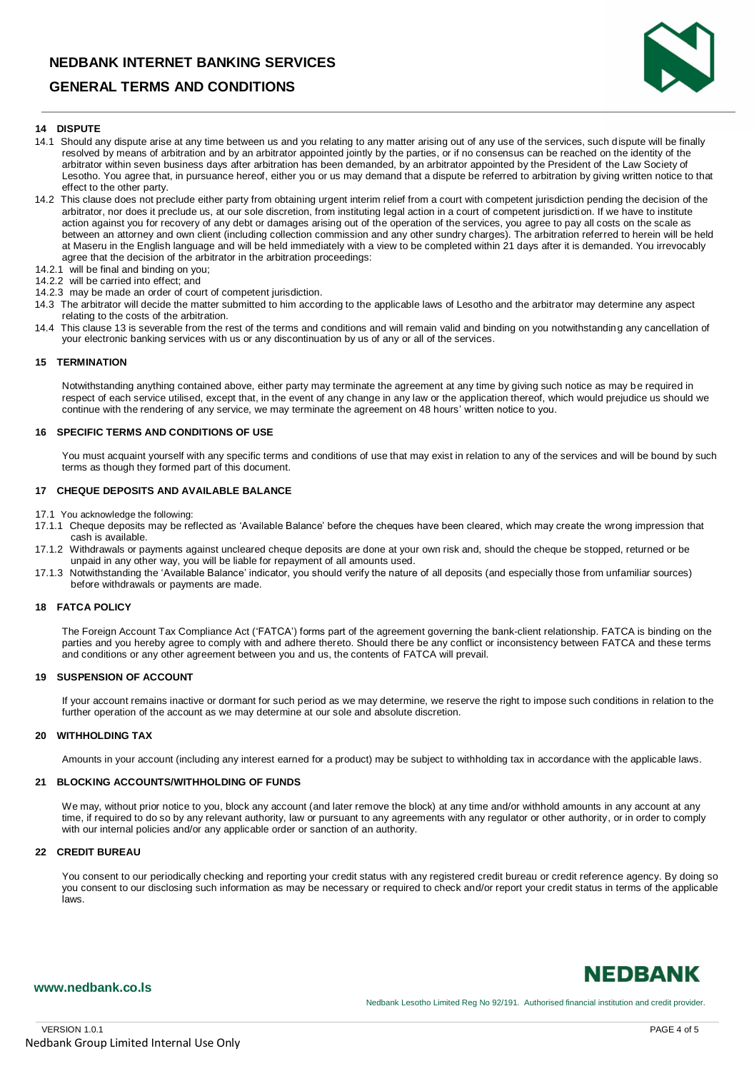### **NEDBANK INTERNET BANKING SERVICES**

### **GENERAL TERMS AND CONDITIONS**



### **14 DISPUTE**

- 14.1 Should any dispute arise at any time between us and you relating to any matter arising out of any use of the services, such dispute will be finally resolved by means of arbitration and by an arbitrator appointed jointly by the parties, or if no consensus can be reached on the identity of the arbitrator within seven business days after arbitration has been demanded, by an arbitrator appointed by the President of the Law Society of Lesotho. You agree that, in pursuance hereof, either you or us may demand that a dispute be referred to arbitration by giving written notice to that effect to the other party.
- 14.2 This clause does not preclude either party from obtaining urgent interim relief from a court with competent jurisdiction pending the decision of the arbitrator, nor does it preclude us, at our sole discretion, from instituting legal action in a court of competent jurisdiction. If we have to institute action against you for recovery of any debt or damages arising out of the operation of the services, you agree to pay all costs on the scale as between an attorney and own client (including collection commission and any other sundry charges). The arbitration referred to herein will be held at Maseru in the English language and will be held immediately with a view to be completed within 21 days after it is demanded. You irrevocably agree that the decision of the arbitrator in the arbitration proceedings:
- 14.2.1 will be final and binding on you;
- 14.2.2 will be carried into effect; and
- 14.2.3 may be made an order of court of competent jurisdiction.
- 14.3 The arbitrator will decide the matter submitted to him according to the applicable laws of Lesotho and the arbitrator may determine any aspect relating to the costs of the arbitration.
- 14.4 This clause 13 is severable from the rest of the terms and conditions and will remain valid and binding on you notwithstanding any cancellation of your electronic banking services with us or any discontinuation by us of any or all of the services.

#### **15 TERMINATION**

Notwithstanding anything contained above, either party may terminate the agreement at any time by giving such notice as may be required in respect of each service utilised, except that, in the event of any change in any law or the application thereof, which would prejudice us should we continue with the rendering of any service, we may terminate the agreement on 48 hours' written notice to you.

### **16 SPECIFIC TERMS AND CONDITIONS OF USE**

You must acquaint yourself with any specific terms and conditions of use that may exist in relation to any of the services and will be bound by such terms as though they formed part of this document.

### **17 CHEQUE DEPOSITS AND AVAILABLE BALANCE**

17.1 You acknowledge the following:

- 17.1.1 Cheque deposits may be reflected as 'Available Balance' before the cheques have been cleared, which may create the wrong impression that cash is available.
- 17.1.2 Withdrawals or payments against uncleared cheque deposits are done at your own risk and, should the cheque be stopped, returned or be unpaid in any other way, you will be liable for repayment of all amounts used.
- 17.1.3 Notwithstanding the 'Available Balance' indicator, you should verify the nature of all deposits (and especially those from unfamiliar sources) before withdrawals or payments are made.

### **18 FATCA POLICY**

The Foreign Account Tax Compliance Act ('FATCA') forms part of the agreement governing the bank-client relationship. FATCA is binding on the parties and you hereby agree to comply with and adhere thereto. Should there be any conflict or inconsistency between FATCA and these terms and conditions or any other agreement between you and us, the contents of FATCA will prevail.

### **19 SUSPENSION OF ACCOUNT**

If your account remains inactive or dormant for such period as we may determine, we reserve the right to impose such conditions in relation to the further operation of the account as we may determine at our sole and absolute discretion.

#### **20 WITHHOLDING TAX**

Amounts in your account (including any interest earned for a product) may be subject to withholding tax in accordance with the applicable laws.

### **21 BLOCKING ACCOUNTS/WITHHOLDING OF FUNDS**

We may, without prior notice to you, block any account (and later remove the block) at any time and/or withhold amounts in any account at any time, if required to do so by any relevant authority, law or pursuant to any agreements with any regulator or other authority, or in order to comply with our internal policies and/or any applicable order or sanction of an authority.

#### **22 CREDIT BUREAU**

You consent to our periodically checking and reporting your credit status with any registered credit bureau or credit reference agency. By doing so you consent to our disclosing such information as may be necessary or required to check and/or report your credit status in terms of the applicable laws.



### **www.nedbank.co.ls**